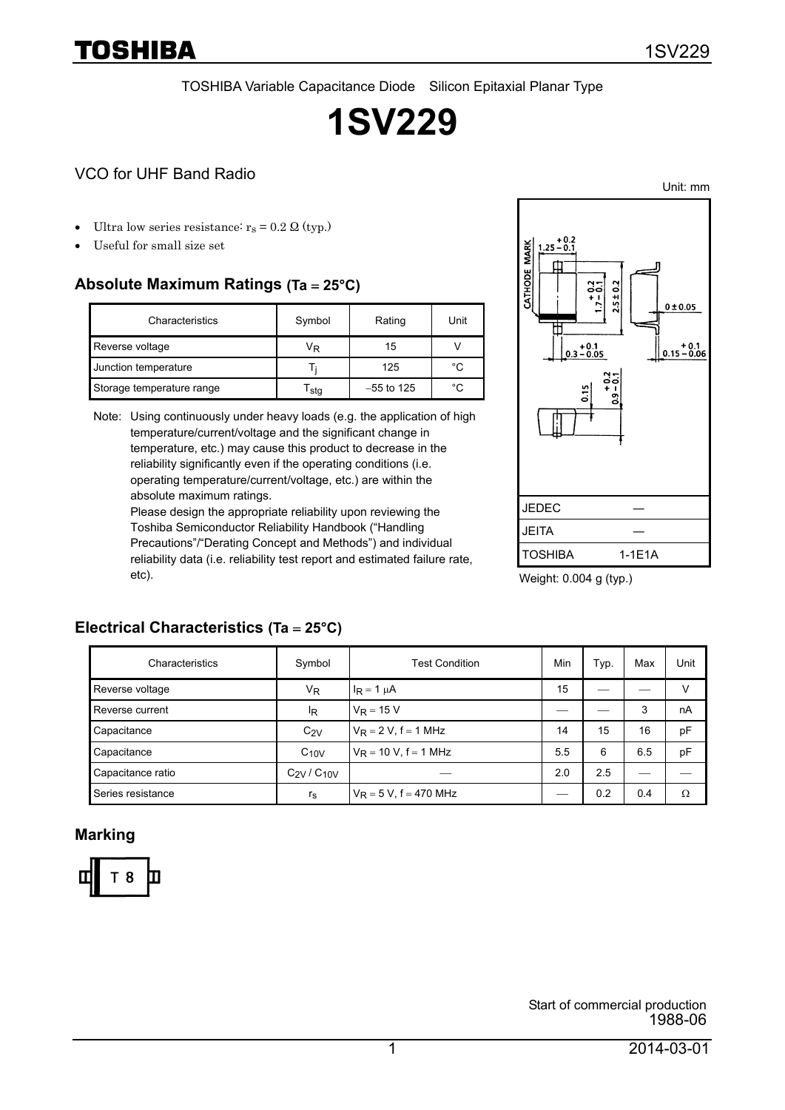Unit: mm

TOSHIBA Variable Capacitance Diode Silicon Epitaxial Planar Type

# **1SV229**

## VCO for UHF Band Radio

- Ultra low series resistance:  $r_s = 0.2 \Omega$  (typ.)
- Useful for small size set

TOSHIBA

## **Absolute Maximum Ratings (Ta** = **25°C)**

| Characteristics           | Symbol           | Rating       | Unit |
|---------------------------|------------------|--------------|------|
| Reverse voltage           | VŖ               | 15           |      |
| Junction temperature      |                  | 125          | °C   |
| Storage temperature range | <sup>I</sup> stq | $-55$ to 125 | °C   |

Note: Using continuously under heavy loads (e.g. the application of high temperature/current/voltage and the significant change in temperature, etc.) may cause this product to decrease in the reliability significantly even if the operating conditions (i.e. operating temperature/current/voltage, etc.) are within the absolute maximum ratings.

Please design the appropriate reliability upon reviewing the Toshiba Semiconductor Reliability Handbook ("Handling Precautions"/"Derating Concept and Methods") and individual reliability data (i.e. reliability test report and estimated failure rate, etc).



Weight: 0.004 g (typ.)

## **Electrical Characteristics (Ta** = **25°C)**

| Characteristics   | Symbol           | Test Condition            | Min | Typ. | Max | Unit |
|-------------------|------------------|---------------------------|-----|------|-----|------|
| Reverse voltage   | V <sub>R</sub>   | $I_R = 1 \mu A$           | 15  |      |     | v    |
| Reverse current   | ΙŖ               | $V_R = 15 V$              |     |      | 3   | nA   |
| Capacitance       | $C_{2V}$         | $V_R = 2 V$ , f = 1 MHz   | 14  | 15   | 16  | pF   |
| Capacitance       | $C_{10V}$        | $V_R = 10 V$ , f = 1 MHz  | 5.5 | 6    | 6.5 | pF   |
| Capacitance ratio | $C_{2V}/C_{10V}$ |                           | 2.0 | 2.5  |     |      |
| Series resistance | $r_{\rm S}$      | $V_R = 5 V$ , f = 470 MHz |     | 0.2  | 0.4 | Ω    |

#### **Marking**

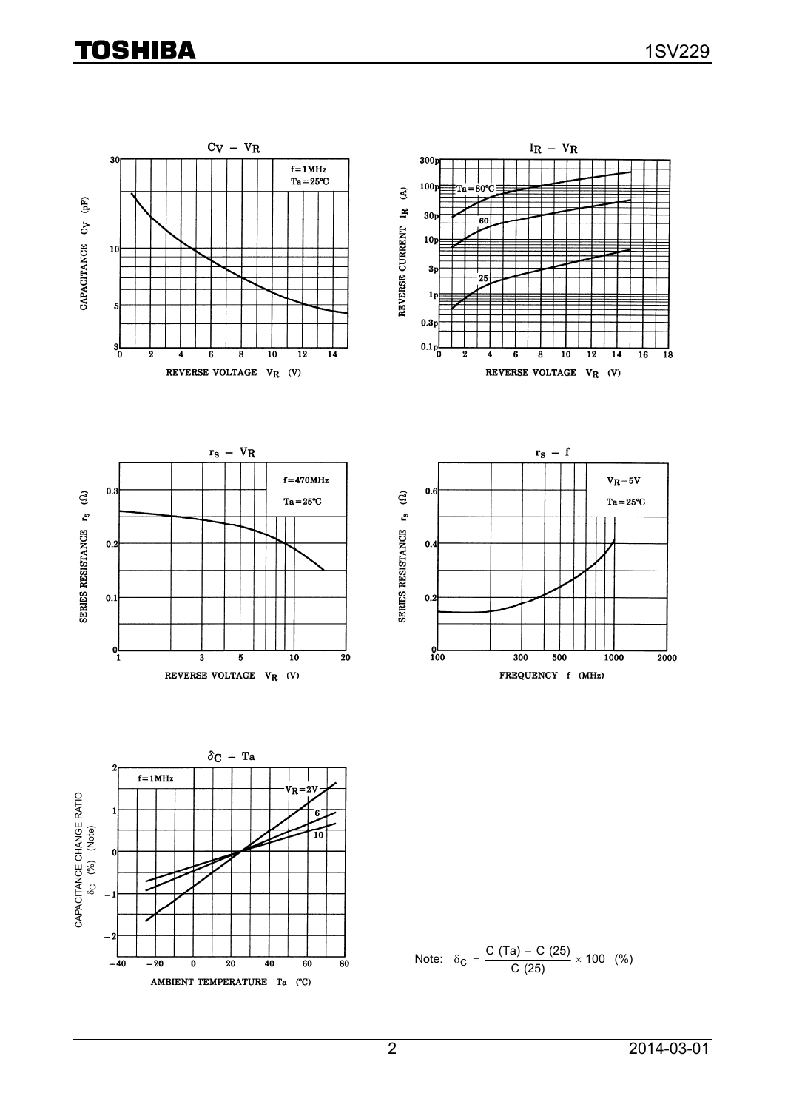## **TOSHIBA**